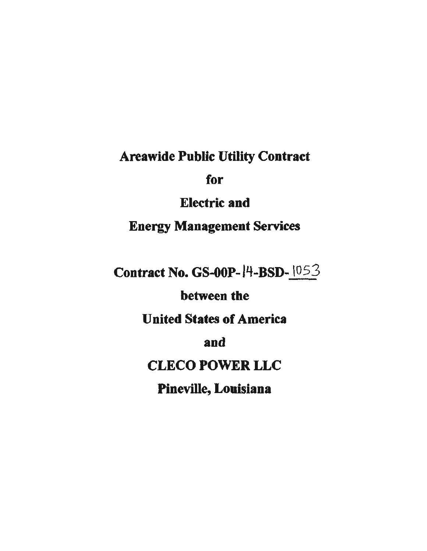# Areawide Public Utility Contract

for

Electric and

Energy Management Services

Contract No. GS-00P-14-BSD-1053

between the

United States of America

and

CLECO POWER LLC

Pineville, Louisiana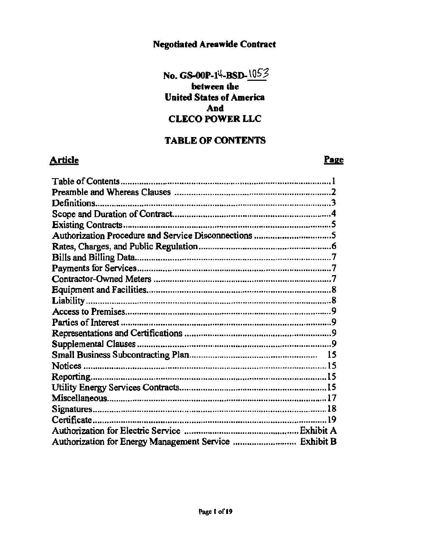# **Negotiated Areawide Contract**

# No. GS-00P-14-BSD-1053 between the **United States of America** And **CLECO POWER LLC**

# **TABLE OF CONTENTS**

# **Article**

# Page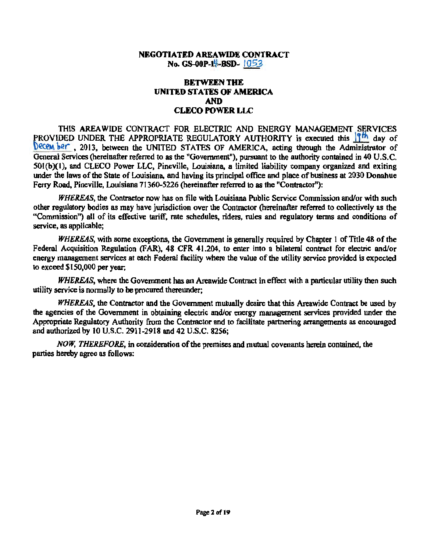#### NEGOTIATED AREAWIDE CONTRACT No. GS-00P-1<sup>1</sup>-BSD-  $1053$

#### BETWEEN THE UNITED STATES OF AMERICA AND CLECO POWER LLC

THIS AREAWIDE CONTRACT FOR ELECTRIC AND ENERGY MANAGEMENT SERVICES PROVIDED UNDER THE APPROPRIATE REGULATORY AUTHORITY is executed this 19th day of December, 2013, between the UNITED STATES OF AMERICA, acting through the Administrator of General Services (hereinafter referred to as the "Government"), pursuant to the authority contained in 40 U.S.C. SOI(b)(l), and CLECO Power LLC, Pineville, Louisiana, a limited liability company organized and exiting under the laws of the State of Louisiana, and having its principal office and place of business at 2030 Donahue Ferry Road, Pineville, Louisiana 71360-5226 (hereinafter referred to as the "Contractor"):

*WHEREAS,* the Contractor now has on file with Louisiana Public Service Commission and/or with such other regulatory bodies as may have jurisdiction over the Contractor (hereinafter referred to collectively as the "Commission") all of its effective tariff, rate schedules, riders, rules and regulatory tenns and conditions of service, as applicable;

*WHEREAS,* with some exceptions, the Government is generally required by Chapter 1 of Title 48 of the Federal Acquisition Regulation (FAR), 48 CFR 41.204, to enter into a bilateral contract for electric and/or energy management services at each Federal facility where the value of the utility service provided is expected to exceed \$150,000 per year;

*WHEREAS,* where the Government has an Areawide Contract in effect with a particular utility then such utility service is normally to be procured thereunder;

*WHEREAS,* the Contractor and the Government mutually desire that this Areawide Contract be used by the agencies of the Government in obtaining electric and/or energy management services provided under the Appropriate ReguJatory Authority from the Contractor and to facilitate partnering arrangements as encouraged and authorized by 10 U.S.C. 2911-2918 and 42 U.S.C. 8256;

*NOW. THEREFORE*, in consideration of the premises and mutual covenants herein contained, the parties hereby agree as follows: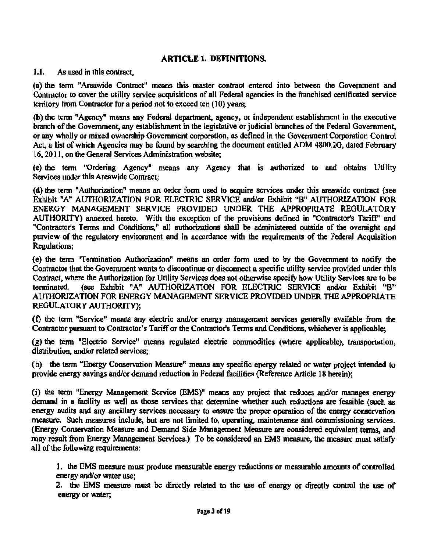#### ARTICLE 1. DEFINITIONS.

1.1. As used in this contract.

(a) the term "Areawide Contract" means this master contract entered into between the Government and Contractor to cover the utility service acquisitions of all Federal agencies in the franchised certificated service territory from Contractor for a period not to exceed ten (10) years;

(b) the tenn "Agency" means any Federal department, agency, or independent establishment in the executive branch of the Government, any establishment in the legislative or judicial branches of the Federal Government. or any wholly or mixed ownership Government corporation, *as* defined in the Government Corporation Control Act, a list of which Agencies may be found by searching the document entitled ADM 4800.2G, dated February 16,2011, on the General Services Administration website;

(e) the term "Ordering Agency" means any Agency that is authorized to and obtains Utility Services under this Areawide Contract;

(d) the term "Authorization" means an order form used to acquire services under this areawide contract (see Exhibit "A" AUTHORIZATION FOR ELECTRIC SERVICE and/or Exhibit "B" AUTHORIZATION FOR ENERGY MANAGEMENT SERVICE PROVIDED UNDER THE APPROPRIATE REGULATORY AUTHORITY) annexed hereto. With the exception of the provisions defined in "Contractor's Tariff" and "Contractor's Terms and Conditions," all authorizations shall be administered outside of the oversight and purview of the regulatory environment and in accordance with the requirements of the Federal Acquisition Regulations;

(e) the term "Termination Authorization" means an order fonn used to by the Government to notify the Contractor that the Government wants to discontinue or disconnect a specific utility service provided under this Contract, where the Authorization for Utility Services does not otherwise specify how Utility Services are to be<br>terminated. (see Exhibit "A" AUTHORIZATION FOR ELECTRIC SERVICE and/or Exhibit "B" (see Exhibit "A" AUTHORIZATION FOR ELECTRIC SERVICE and/or Exhibit "B" AUTHORIZATION FOR ENERGY MANAGEMENT SERVICE PROVIDED UNDER TIIE APPROPRIATE REGULATORY AUTHORITY);

(f) the term "Service" means any electric and/or energy management services generally available from the Contractor pursuant to Contractor's Tariff or the Contractor's Terms and Conditions, whichever is applicable;

(g) the term "Electric Service" means regulated electric conunodities (where applicable), transportation, distribution, and/or related services;

(h) the tenn "Energy Conservation Measure'' means any specific energy related or water project intended to provide energy savings and/or demand reduction in Federal facilities (Reference Article 18 herein);

(i) the term "Energy Management Service (EMS)" means any project that reduces and/or manages energy demand in a facility as well as those services that determine whether such reductions are feasible (such as energy audits and any ancillary services necessary to ensure the proper operation of the energy conservation measure. Such measures include, but are not limited to, operating, maintenance and commissioning services. (Energy Conservation Measure and Demand Side Management Measure are considered equivalent terms, and may result from Energy Management Services.) To be considered an EMS measure, the measure must satisfy all of the following requirements:

I. the EMS measure must produce measurable energy reductions or measurable amounts of controlled energy and/or water use;

2. the EMS measure must be directly related to the use of energy or directly control the use of energy or water;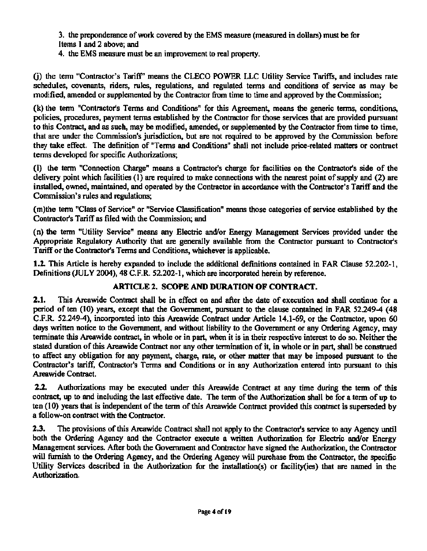3. the preponderance ofwork covered by the EMS measure (measured in dollars) must be for Items I and 2 above; and

4. the EMS measure must be an improvement to real property.

(j) the tenn "Contractor's Tariff' means the CLECO POWER LLC Utility Service Tariffs, and includes rate schedules, covenants, riders, rules, regulations, and regulated terms and conditions of service as may be modified, amended or supplemented by the Contractor from time to time and approved by the Commission;

(k) the tenn "Contractor's Terms and Conditions" for this Agreement, means the generic terms, conditions, policies, procedures, payment terms established by the Contractor for those services that are provided pursuant to this Contract, and as such, may be modified, amended, or supplemented by the Contractor from time to time, that are under the Commission's jurisdiction, but are not required to be approved by the Commission before they take effect. The definition of "Terms and Conditions" shall not include price-related matters or contract tenns developed for specific Authorizations;

(1) the term "Connection Charge" means a Contractor's charge for facilities on the Contractor's side of the delivery point which facilities  $(1)$  are required to make connections with the nearest point of supply and  $(2)$  are installed, owned, maintained, and operated by the Contractor in accordance with the Contractor's Tariff and the Commission's rules and regulations;

(m)the term "Class of Service" or "Service Classification" means those categories of service established by the Contractor's Tariff as filed with the Commission; and

(n) the term "Utility Service" means any Electric and/or Energy Management Services provided under the Appropriate Regulatory Authority that are generally available from the Contractor pursuant to Contractor's Tariff or the Contractor's Terms and Conditions, whichever is applicable.

1.2. This Article is hereby expanded to include the additional definitions contained in FAR Clause 52.202-1, Definitions (JULY 2004), 48 C.F.R. 52.202-1, which are incorporated herein by reference.

# ARTICLE 2. SCOPE AND DURATION OF CONTRACT.

**2.1.** This Areawide Contract shall be in effect on and after the date of execution and shall continue for a period of ten (10) years, except that the Government, pursuant to the clause contained in FAR 52.249-4 (48 C.F.R. 52.249-4), incorporated into this Areawide Contract under Article 14.1-69, or the Contractor, upon 60 days written notice to the Government, and without liability to the Government or any Ordering Agency, may terminate this Areawide contract, in whole or in part, when it is in their respective interest to do so. Neither the stated duration of this Areawide Contract nor any other termination of it, in whole or in part, shall be construed to affect any obligation for any payment, charge, rate, or other matter that may be imposed pursuant to the Contractor's tariff, Contractor's Terms and Conditions or in any Authorization entered into pursuant to this Areawide Contract.

2.2. Authorizations may be executed under this Areawide Contract at any time during the term of this contract, up to and including the last effective date. The term of the Authorization shall be for a term of up to ten (10) years that is independent of the term of this Areawide Contract provided this contract is superseded by a follow-on contract with the Contractor.

2.3. The provisions of this Areawide Contract shall not apply to the Contractor's service to any Agency until both the Ordering Agency and the Contractor execute a written Authorization for Electric and/or Energy Management services. After both the Government and Contractor have signed the Authorization, the Contractor will furnish to the Ordering Agency, and the Ordering Agency will purchase from the Contractor, the specific Utility Services described in the Authorization for the installation(s) or facility(ies) that are named in the Authorization.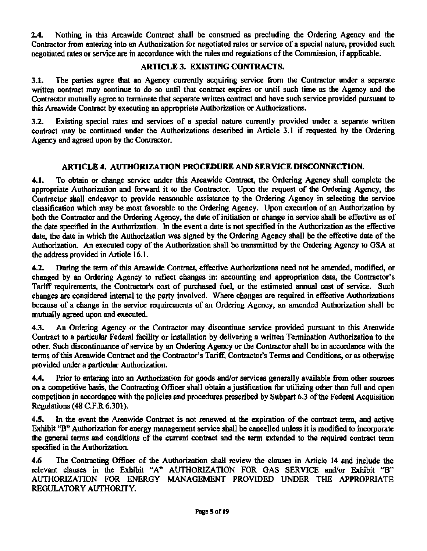2.4. Nothing in this Areawide Contract shall be construed as precluding the Ordering Agency and the Contractor from entering into an Authorization for negotiated rates or service of a special nature, provided such negotiated rates or service are in accordance with the rules and regulations of the Commission, if applicable.

#### ARTICLE 3. EXISTING CONTRACTS.

3.1. The parties agree that an Agency currently acquiring service from the Contractor under a separate written contract may continue to do so until that contract expires or until such time as the Agency and the Contractor mutually agree to terminate that separate written contract and have such service provided pursuant to this Areawide Contract by executing an appropriate Authorization or Authorizations.

3.2. Existing special rates and services of a special nature currently provided under a separate written contract may be continued under the Authorizations described in Article 3.1 if requested by the Ordering Agency and agreed upon by the Contractor.

#### ARTICLE 4. AUTHORIZATION PROCEDURE AND SERVICE DISCONNECTION.

4.1. To obtain or change service under this Areawide Contract, the Ordering Agency shall complete the appropriate Authorization and forward it to the Contractor. Upon the request of the Ordering Agency, the Contractor shall endeavor to provide reasonable assistance to the Ordering Agency in selecting the service classification which may be most favorable to the Ordering Agency. Upon execution of an Authorization by both the Contractor and the Ordering Agency, the date of initiation or change in service shall be effective as of the date specified in the Authorization. In the event a date is not specified in the Authorization as the effective date, the date in which the Authorization was signed by the Ordering Agency shall be the effective date of the Authorization. An executed copy of the Authorization shall be transmitted by the Ordering Agency to GSA at the address provided in Article 16.1.

4.2. During the term of this Areawide Contract, effective Authorizations need not be amended, modified, or changed by an Ordering Agency to reflect changes in: accounting and appropriation data, the Contractor's Tariff requirements, the Contractor's cost of purchased fuel, or the estimated annual cost of service. Such changes are considered internal to the party involved. Where changes are required in effective Authorizations because of a change in the service requirements of an Ordering Agency, an amended Authorization shall be mutually agreed upon and executed.

4.3. An Ordering Agency or the Contractor may discontinue service provided pursuant to this Areawide Contract to a particular Federal facility or installation by delivering a written Tennination Authorization to the other. Such discontinuance of service by an Ordering Agency or the Contractor shall be in accordance with the terms of this Areawide Contract and the Contractor's Tariff, Contractor's Terms and Conditions, or as otherwise provided under a particular Authorization.

4.4. Prior to entering into an Authorization for goods and/or services generally available from other sources on a competitive basis, the Contracting Officer shall obtain a justification for utilizing other than full and open competition in accordance with the policies and procedures prescribed by Subpart 6.3 of the Federal Acquisition Regulations (48 C.F.R 6.301).

4.5. In the event the Areawide Contract is not renewed at the expiration of the contract term, and active Exhibit "B" Authorization for energy management service shall be cancelled unless it is modified to incorporate the general tenns and conditions of the current contract and the term extended to the required contract tenn specified in the Authorization.

4.6 The Contracting Officer of the Authorization shall review the clauses in Article 14 and include the relevant clauses in the Exhibit "A" AUTIIORIZATION FOR GAS SERVICE and/or Exhibit "B" AUTHORIZATION FOR ENERGY MANAGEMENT PROVIDED UNDER THE APPROPRIATE REGULATORY AUTHORITY.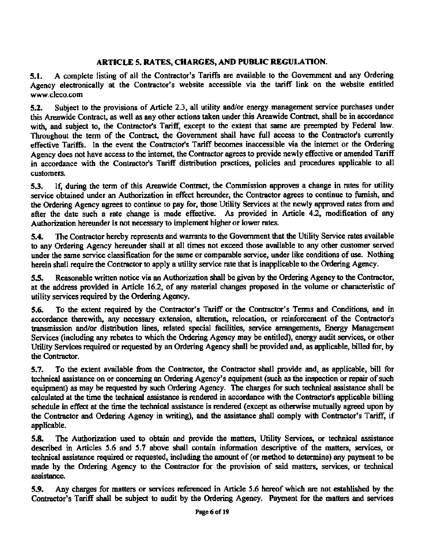#### ARTICLE 5. RATES, CHARGES, AND PUBLIC REGULATION.

5.1. A complete listing of all the Contractor's Tariffs are available to the Govenunent and any Ordering Agency electronically at the Contractor's website accessible via the tariff link on the website entitled www.cleco.com

5.2. Subject to the provisions of Article 2.3, all utility and/or energy management service purchases under this Areawide Contract, as well as any other actions taken under this Areawide Contract, shall be in accordance with, and subject to, the Contractor's Tariff, except to the extent that same are preempted by Federal law. Throughout the term of the Contract, the Government shall have full access to the Contractor's currently effective Tariffs. In the event the Contractor's Tariff becomes inaccessible via the internet or the Ordering Agency does not have access to the internet, the Contractor agrees to provide newly effective or amended Tariff in accordance with the Contractor's Tariff distribution practices, policies and procedures applicable to all customers.

5.3. If, during the tenn of this Areawide Contract, the Commission approves a change in rates for utility service obtained under an Authorization in effect hereunder, the Contractor agrees to continue to furnish, and the Ordering Agency agrees to continue to pay for, those Utility Services at the newly approved rates ftom and after the date such a rate change is made effective. *As* provided in Article 4.2, modification of any Authorization hereunder is not necessary to implement higher or lower rates.

5.4. The Contractor hereby represents and warrants to the Government that the Utility Service rates available to any Ordering Agency hereunder shall at all times not exceed those available to any other customer served under the same service classification for the same or comparable service, under like conditions of use. Nothing herein shall require the Contractor to apply a utility service rate that is inapplicable to the Ordering Agency.

5.5. Reasonable written notice via an Authorization shall be given by the Ordering Agency to the Contractor, at the address provided in Article 16.2, of any material changes proposed in the volume or characteristic of utility services required by the Ordering Agency.

5.6. To the extent required by the Contractor's Tariff or the Contractor's Tenns and Conditions, and in accordance therewith, any necessary extension, alteration, relocation, or reinforcement of the Contractor's transmission and/or distribution lines, related special facilities, service arrangements, Energy Management Services (including any rebates to which the Ordering Agency may be entitled), energy audit services, or other Utility Services required or requested by an Ordering Agency shall be provided and, as applicable, billed for, by the Contractor.

5.7. To the extent available from the Contractor, the Contractor shall provide and, as applicable, bill for technical assistance on or concerning an Ordering Agency's equipment (such as the inspection or repair of such equipment) as may be requested by such Ordering Agency. The charges for such technical assistance shall be calculated at the time the technical assistance is rendered in accordance with the Contractor's applicable billing schedule in effect at the time the technical assistance is rendered (except as otherwise mutually agreed upon by the Contractor and Ordering Agency in writing), and the assistance shall comply with Contractor's Tariff, if applicable.

5.8. The Authorization used to obtain and provide the matters, Utility Services, or technical assistance described in Articles 5.6 and *5.*7 above shall contain information descriptive of the matters, services, or technical assistance required or requested, including the amount of (or method to determine) any payment to be made by the Ordering Agency to the Contractor for the provision of said matters, services, or technical assistance.

5.9. Any charges for matters or services referenced in Article 5.6 hereof which are not established by the Contractor's Tariff shall be subject to audit by the Ordering Agency. Payment for the matters and services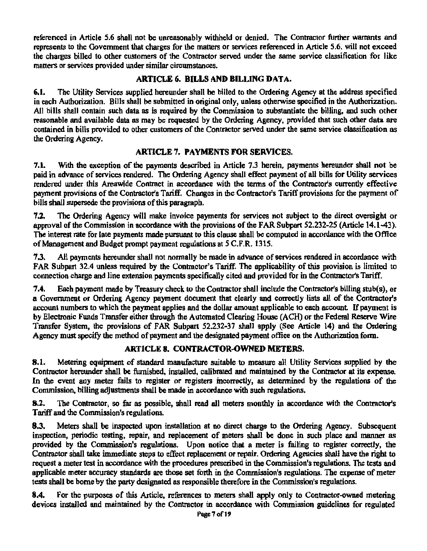referenced in Article 5.6 shall not be unreasonably withheld or denied. The Contractor further warrants and represents to the Government that charges for the matters or services referenced in Article 5.6. will not exceed the charges billed to other customers of the Contractor served under the same service classification for like matters or services provided under similar circumstances.

#### ARTICLE 6. BILLS AND BILLING DATA.

6.1. The Utility Services supplied hereunder shall be billed to the Ordering Agency at the address specified in each Authorization. BiJis shall be submitted in original only, unless otherwise specified in the Authorization. All bills shall contain such data as is required by the Commission to substantiate the billing, and such other reasonable and available data as may be requested by the Ordering Agency, provided that such other data are contained in bills provided to other customers of the Contractor served under the same service classification as the Ordering Agency.

### ARTICLE 7. PAYMENTS FOR SERVICES.

7.1. With the exception of the payments described in Article 7.3 herein, payments hereunder shall not be paid in advance of services rendered. The Ordering Agency shall effect payment of all bills for Utility services rendered under this Areawide Contract in accordance with the terms of the Contractor's currently effective payment provisions of the Contractor's Tariff. Changes in the Contractor's Tariff provisions for the payment of bills shall supersede the provisions of this paragraph.

7.1. The Ordering Agency will make invoice payments for services not subject to the direct oversight or approval of the Commission in accordance with the provisions of the FAR Subpart 52.232-25 (Article 14.1-43). The interest rate for late payments made pursuant to this clause shall be computed in accordance with the Office ofManagement and Budget prompt payment regulations at *5* C.F.R. 1315.

7.3. All payments hereunder shall not normally be made in advance of services rendered in accordance with FAR Subpart 32.4 unless required by the Contractor's Tariff. The applicability of this provision is limited to connection charge and line extension payments specifically cited and provided for in the Contractor's Tariff.

7.4. Each payment made by Treasury check to the Contractor shall include the Contractor's billing stub(s), or a Government or Ordering Agency payment document that clearly and conectly lists all of the Contractor's account numbers to which the payment applies and the dollar amount applicable to each account. If payment is by Electronic Funds Transfer either through the Automated Clearing House (ACH) or the Federal Reserve Wire Transfer System, the provisions of FAR Subpart 52.232-37 shall apply (See Article 14) and the Ordering Agency must specify the method of payment and the designated payment office on the Authorization form.

# ARTICLE 8. CONTRACTOR-OWNED METERS.

8.1. Metering equipment of standard manufacture suitable to measure all Utility Services supplied by the Contractor hereunder shall be furnished. installed, calibrated and maintained by the Contractor at its expense. In the event any meter fails to register or registers incorrectly, as determined by the regulations of the Commission, billing adjustments shall be made in accordance with such regulations.

8.l. The Contractor, so far as possible, shall read all meters monthly in accordance with the Contractor's Tariff and the Commission's regulations.

8.3. Meters shall be inspected upon installation at no direct charge to the Ordering Agency. Subsequent inspection, periodic testing, repair, and replacement of meters shall be done in such place and manner as provided by the Commission's regulations. Upon notice that a meter is failing to register correctly, the Contractor shall take immediate steps to effect replacement or repair. Ordering Agencies shall have the right to request a meter test in accordance with the procedures prescribed in the Commission's regulations. The tests and applicable meter accuracy standards are those set forth in the Commission's regulations. The expense of meter tests shall be borne by the party designated as responsible therefore in the Commission's regulations.

8.4. For the purposes of this Article, references to meters shall apply only to Contractor-owned metering devices installed and maintained by the Contractor in accordance with Commission guidelines for regulated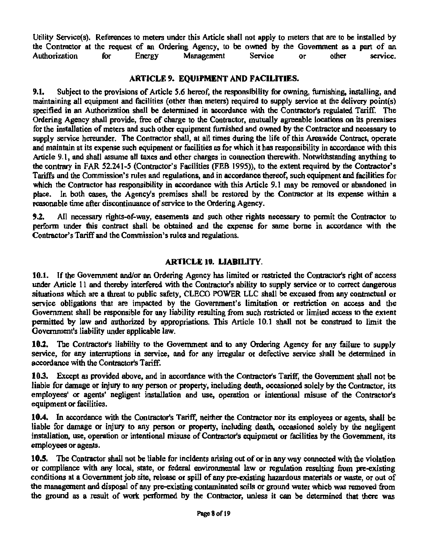Utility Service(s). References to meters under this Article shall not apply to meters that are to be installed by the Contractor at the request of an Ordering Agency, to be owned by the Government as a part of an Authorization for Energy Management Service or other service. Authorization for Energy Management Service or other service.

#### ARTICLE 9. EQUIPMENT AND FACILITIES.

9.1. Subject to the provisions of Article 5.6 hereof, the responsibility for owning, furnishing, installing, and maintaining all equipment and facilities (other than meters) required to supply service at the delivery point(s) specified in an Authorization shall be determined in accordance with the Contractor's regulated Tariff. The Ordering Agency shall provide, free of charge to the Contractor, mutually agreeable locations on its premises for the installation of meters and such other equipment furnished and owned by the Contractor and necessary to supply service hereunder. The Contractor shall, at all times during the life of this Areawide Contract, operate and maintain at its expense such equipment or facilities as for which it has responsibility in accordance with this Article 9.1, and shall assume all taxes and other charges in connection therewith. Notwithstanding anything to the contrary in FAR 52.241-5 (Contractor's Facilities (FEB 1995)), to the extent required by the Contractor's Tariffs and the Commission's rules and regulations, and in accordance thereof, such equipment and facilities for which the Contractor has responsibility in accordance with this Article 9.1 may be removed or abandoned in place. In both cases, the Agency's premises shall be restored by the Contractor at its expense within a reasonable time after discontinuance of service to the Ordering Agency.

*9.2.* All necessary rights-of-way, easements and such other rights necessary to permit the Contractor to perform under this contract shall be obtained and the expense for same borne in accordance with the Contractor's Tariff and the Commission's rules and regulations.

#### ARTICLE 10. LIABILITY.

10.1. If the Government and/or an Ordering Agency has limited or restricted the Contractor's right of access under Article 11 and thereby interfered with the Contractor's ability to supply service or to correct dangerous situations which are a threat to public safety, CLECO POWER LLC shall be excused from any contractual or service obligations that are impacted by the Government's limitation or restriction on access and the Government shall be responsible for any liability resulting from such restricted or limited access to the extent permitted by law and authorized by appropriations. This Article 10.1 shall not be construed to limit the Government's liability under applicable law.

10.1. The Contractor's liability to the Government and to any Ordering Agency for any failure to supply service, for any interruptions in service, and for any irregular or defective service shall be detennined in accordance with the Contractor's Tariff.

10.3. Except as provided above, and in accordance with the Contractor's Tariff, the Government shall not be liable for damage or injury to any person or property, including death, occasioned solely by the Contractor, its employees' or agents' negligent installation and use, operation or intentional misuse of the Contractor's equipment or facilities.

10.4. In accordance with the Contractor's Tariff, neither the Contractor nor its employees or agents, shall be liable for damage or injury to any person or property, including death, occasioned solely by the negligent installation, use, operation or intentional misuse of Contractor's equipment or facilities by the Government, its employees or agents.

10.5. The Contractor shall not be liable for incidents arising out of or in any way connected with the violation or compliance with any local, state, or federal environmental law or regulation resulting from pre-existing conditions at a Government job site, release or spill of any pre-existing hazardous materials or waste, or out of the management and disposal of any pre-existing contaminated soils or ground water which was removed from the ground as a result of work performed by the Contractor, unless it can be determined that there was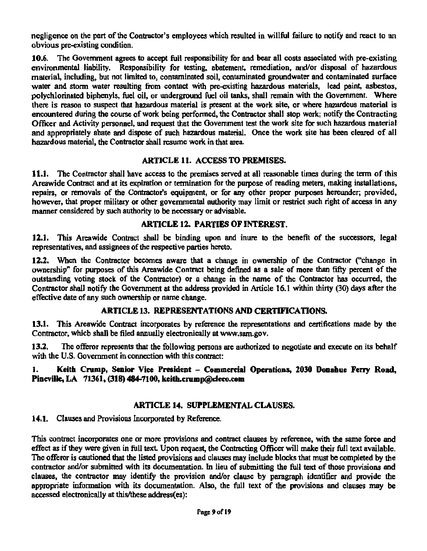negligence on the part of the Contractor's employees which resulted in willful failure to notify and react to an obvious pre-existing condition.

10.6. The Government agrees to accept full responsibility for and bear all costs associated with pre~existing environmental liability. Responsibility for testing, abatement, remediation, and/or disposal of hazardous material, including, but not limited to, contaminated soil, contaminated groundwater and contaminated surface water and storm water resulting from contact with pre-existing hazardous materials, lead paint, asbestos, polychlorinated biphenyls, fuel oil, or underground fuel oil tanks, shall remain with the Government. Where there is reason to suspect that hazardous material is present at the work site, or where hazardous material is encountered during the course of work being performed, the Contractor shall stop wotk; notify the Contracting Officer and Activity personnel, and request that the Government test the work site for such hazardous material and appropriately abate and dispose of such hazardous material. Once the work site has been cleared of all hazardous material, the Contractor shall resume work in that area.

#### ARTICLE 11. ACCESS TO PREMISES.

11.1. The Contractor shall have access to the premises served at all reasonable times during the term of this Areawide Contract and at its expiration or termination for the purpose of reading meters, making installations, repairs, or removals of the Contractor's equipment, or for any other proper purposes hereunder; provided, however, that proper military or other governmental authority may limit or restrict such right of access in any manner considered by such authority to be necessary or advisable.

#### ARTICLE 12. PARTIES OF INTEREST.

12.1. This Areawide Contract shall be binding upon and inure to the benefit of the successors, legal representatives, and assignees of the respective parties hereto.

12.2. When the Contractor becomes aware that a change in ownership of the Contractor ("change in ownership" for purposes of this Areawide Contract being defined as a sale of more than fifty percent of the outstanding voting stock of the Contractor) or a change in the name of the Contractor bas occurred, the Contractor shall notify the Government at the address provided in Article 16.1 within thirty (30) days after the effective date of any such ownership or name change.

#### ARTICLE 13. REPRESENTATIONS AND CERTIFICATIONS.

13.1. This Areawide Contract incorporates by reference the representations and certifications made by the Contractor, which shall be filed annually electronically at www.sam.gov.

13.2. The offeror represents that the following persons are authorized to negotiate and execute on its behalf with the U.S. Government in connection with this contract:

#### 1. Keith Crump, Senior Vice President - Commercial Operations, 2030 Donahue Ferry Road, Pineville, LA 71361, (318) 484-7100, keith.crump@cleco.com

#### ARTICLE 14. SUPPLEMENTAL CLAUSES.

#### 14.1. Clauses and Provisions Incorporated by Reference.

This contract incorporates one or more provisions and contract clauses by reference, with the same force and effect as if they were given in full text. Upon request, the Contracting Officer will make their full text available. The offeror is cautioned that the listed provisions and clauses may include blocks that must be completed by the contractor and/or submitted with its documentation. In lieu of submitting the full text of those provisions and clauses, the contractor may identify the provision and/or clause by paragraph identifier and provide the appropriate information with its docwnentation. Also, the full text of the provisions and clauses may be accessed electronically at this/these address(es):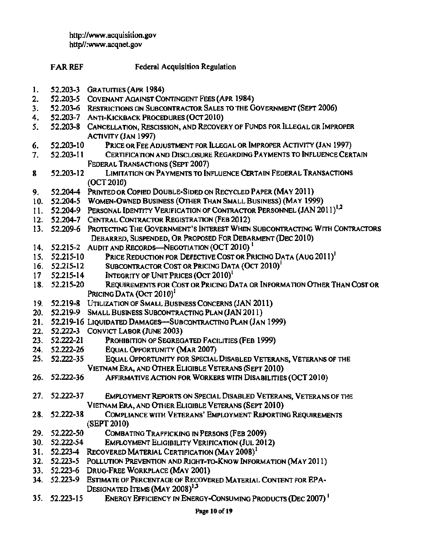http://www.acquisition.gov httpl/:www.acqnet.gov

|                  | <b>FAR REF</b> | <b>Federal Acquisition Regulation</b>                                                                                                               |
|------------------|----------------|-----------------------------------------------------------------------------------------------------------------------------------------------------|
| 1.               |                | 52.203-3 GRATUITIES (APR 1984)                                                                                                                      |
| 2.               |                | 52.203-5 COVENANT AGAINST CONTINGENT FEES (APR 1984)                                                                                                |
| 3.               |                | 52.203-6 RESTRICTIONS ON SUBCONTRACTOR SALES TO THE GOVERNMENT (SEPT 2006)                                                                          |
| 4.               |                | 52.203-7 ANTI-KICKBACK PROCEDURES (OCT 2010)                                                                                                        |
| 5.               |                | 52.203-8 CANCELLATION, RESCISSION, AND RECOVERY OF FUNDS FOR ILLEGAL OR IMPROPER<br><b>ACTIVITY (JAN 1997)</b>                                      |
| 6.               | 52.203-10      | PRICE OR FEE ADJUSTMENT FOR ILLEGAL OR IMPROPER ACTIVITY (JAN 1997)                                                                                 |
| 7.               | 52.203-11      | CERTIFICATION AND DISCLOSURE REGARDING PAYMENTS TO INFLUENCE CERTAIN<br>FEDERAL TRANSACTIONS (SEPT 2007)                                            |
| 8                | 52.203-12      | LIMITATION ON PAYMENTS TO INFLUENCE CERTAIN FEDERAL TRANSACTIONS<br>(OCT 2010)                                                                      |
| 9.               |                | 52.204-4 PRINTED OR COPIED DOUBLE-SIDED ON RECYCLED PAPER (MAY 2011)                                                                                |
|                  |                | 10. 52.204-5 WOMEN-OWNED BUSINESS (OTHER THAN SMALL BUSINESS) (MAY 1999)                                                                            |
| 11.              |                | 52.204-9 PERSONAL IDENTITY VERIFICATION OF CONTRACTOR PERSONNEL (JAN 2011) <sup>1,2</sup>                                                           |
|                  |                | 12. 52.204-7 CENTRAL CONTRACTOR REGISTRATION (FEB 2012)                                                                                             |
| 13.              |                | 52.209-6 PROTECTING THE GOVERNMENT'S INTEREST WHEN SUBCONTRACTING WITH CONTRACTORS                                                                  |
|                  |                | DEBARRED, SUSPENDED, OR PROPOSED FOR DEBARMENT (DEC 2010)                                                                                           |
|                  |                | 14. 52.215-2 AUDIT AND RECORDS-NEGOTIATION (OCT 2010)                                                                                               |
|                  | 15. 52.215-10  | PRICE REDUCTION FOR DEFECTIVE COST OR PRICING DATA (AUG 2011) <sup>1</sup>                                                                          |
|                  | 16. 52.215-12  | SUBCONTRACTOR COST OR PRICING DATA (OCT 2010)                                                                                                       |
| 17 <sup>17</sup> | 52.215-14      | INTEGRITY OF UNIT PRICES (OCT 2010) <sup>1</sup>                                                                                                    |
|                  | 18. 52.215-20  | REQUIREMENTS FOR COST OR PRICING DATA OR INFORMATION OTHER THAN COST OR                                                                             |
|                  |                | PRICING DATA (OCT 2010) <sup>1</sup>                                                                                                                |
|                  |                | 19. 52.219-8 UTILIZATION OF SMALL BUSINESS CONCERNS (JAN 2011)                                                                                      |
|                  |                | 20. 52.219-9 SMALL BUSINESS SUBCONTRACTING PLAN (JAN 2011)                                                                                          |
| 21.              |                | 52.219-16 LIQUIDATED DAMAGES-SUBCONTRACTING PLAN (JAN 1999)                                                                                         |
| 22.              |                | 52.222-3 CONVICT LABOR (JUNE 2003)                                                                                                                  |
| 23.              | 52.222-21      | PROHIBITION OF SEGREGATED FACILITIES (FEB 1999)                                                                                                     |
|                  | 24. 52.222-26  | EQUAL OPFORTUNITY (MAR 2007)                                                                                                                        |
| 25.              | 52.222-35      | EQUAL OPPORTUNITY FOR SPECIAL DISABLED VETERANS, VETERANS OF THE                                                                                    |
|                  |                | VIETNAM ERA, AND OTHER ELIGIBLE VETERANS (SEPT 2010)                                                                                                |
| 26.              | 52.222-36      | AFFIRMATIVE ACTION FOR WORKERS WITH DISABILITIES (OCT 2010)                                                                                         |
| 27.              | 52.222-37      | EMPLOYMENT REPORTS ON SPECIAL DISABLED VETERANS, VETERANS OF THE                                                                                    |
|                  |                | VIETNAM ERA, AND OTHER ELIGIBLE VETERANS (SEPT 2010)                                                                                                |
| 28.              | 52.222-38      | COMPLIANCE WITH VETERANS' EMPLOYMENT REPORTING REQUIREMENTS                                                                                         |
|                  | 52.222-50      | (SEPT 2010)<br>COMBATING TRAFFICKING IN PERSONS (FEB 2009)                                                                                          |
| 29.              | 52.222-54      | EMPLOYMENT ELIGIBILITY VERIFICATION (JUL 2012)                                                                                                      |
| 30.              |                |                                                                                                                                                     |
|                  |                | 31. 52.223-4 RECOVERED MATERIAL CERTIFICATION (MAY 2008) <sup>1</sup><br>32. 52.223-5 POLLUTION PREVENTION AND RIGHT-TO-KNOW INFORMATION (MAY 2011) |
|                  |                |                                                                                                                                                     |
|                  |                | 33. 52.223-6 DRUG-FREE WORKPLACE (MAY 2001)<br>34. 52.223-9 ESTIMATE OF PERCENTAGE OF RECOVERED MATERIAL CONTENT FOR EPA-                           |
|                  |                | DESIGNATED ITEMS (MAY 2008) <sup>13</sup>                                                                                                           |
| n c              | EA AAD 16.     | Durboy Coversion Bronison (Dro 2007)                                                                                                                |

35. 52.223-15 ENERGY EFFICIENCY IN ENERGY-CONSUMING PRODUCTS (DEC 2007)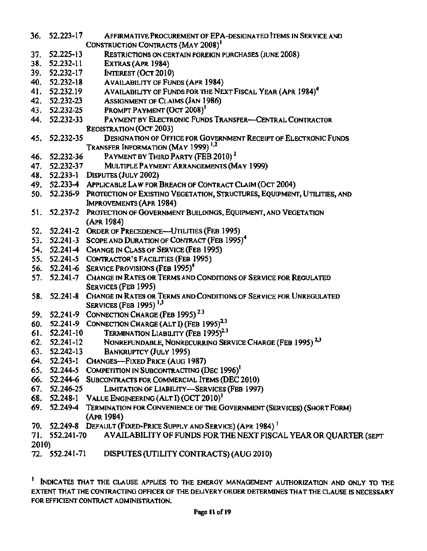- 36. 52.223-17 AFFIRMATIVE PROCUREMENT OF EPA-DESIGNATED ITEMS IN SERVICE AND CONSTRUCTION CONTRACTS (MAY 2008)<sup>1</sup>
- 37. 52.225-13 RESTRICTIONS ON CERTAIN FOREIGN PURCHASES (JUNE 2008)<br>38. 52.232-11 EXTRAS (APR 1984)
- 38. 52.232-11 EXTRAS (APR 1984)
- **39. 52.232-17 INTEREST (OCT 2010)**<br>**40. 52.232-18 AVAILABILITY OF FUN**
- AVAILABILITY OF FUNDS (APR 1984)
- 41. 52.232.19 AVAILABILITY OF FUNDS FOR THE NEXT FISCAL YEAR (APR 1984)<sup>4</sup><br>42. 52.232-23 Assignment of Claims (Jan 1986)
- ASSIGNMENT OF CLAIMS (JAN 1986)
- 43. 52.232-25 PROMPT PAYMENT (OCT 2008)<sup>1</sup><br>44. 52.232-33 PAYMENT BY ELECTRONIC FUND
- PAYMENT BY ELECTRONIC FUNDS TRANSFER-CENTRAL CONTRACTOR REOISTRATION (OCT 2003)
- 45. 52.232-35 DESIGNATION OF OFFICE FOR GOVERNMENT RECEIPT OF ELECTRONIC FUNDS TRANSFER INFORMATION (MAY 1999)<sup>1,2</sup>
- 46. 52.232-36 PAYMENT BY THIRD PARTY (FEB 2010)<sup>2</sup><br>47. 52.232-37 MULTIPLE PAYMENT ARRANGEMENTS (M
- MULTIPLE PAYMENT ARRANGEMENTS (MAY 1999)
- 48. 52.233-1 DISPUTES (JULY 2002)
- 49. 52.233-4 APPLICABLE LAW FOR BREACH OF CONTRACT CLAIM (OCT 2004)
- 50. 52.236-9 PROTECTION OF EXISTING VEGETATION, STRUCTURES, EQUIPMENT, UTILITIES, AND IMPROVEMENTS (APR 1984)
- 51. 52.237-2 PROTECTION OF GoVERNMENT BUILDINGS, EQUIPMENT, AND VEGETATION (APR 1984)
- 52. 52.241-2 ORDER OF PRECEDENCE---UTILITIES (FEB 1995)
- 53. 52.241-3 SCOPE AND DURATION OF CONTRACT (FEB 1995)<sup>4</sup>
- 54. 52.241-4 CHANGE IN CLASS OF SERVICE (FEB 1995)
- 55. **52.241-5 CONTRACTOR'S FACILITIES (FEB 1995)**
- 56. 52.241-6 SERVICE PROVISIONS (FEB 1995)<sup>4</sup>
- 57. 52.241-7 CHANGE IN RATES OR TERMS AND CONDITIONS OF SERVICE FOR REGULATED SERVICES (FEB 1995)
- *58.*  52.241-8 CHANGE IN RATES OR TERMS AND CONDITIONS OF SERVICE FOR UNREGULATED SERVICES (FEB 1995) $<sup>1,3</sup>$ </sup>
- 59. 52.241-9 CONNECTION CHARGE (FEB 1995)<sup>23</sup>
- 60. 52.241-9 CONNECTION CHARGE (ALT I) (FEB 1995)<sup>2.3</sup>
- 61.  $52.241 10$  TERMINATION LIABILITY (FEB  $1995)^{2.3}$ <br>62.  $52.241 12$  NONREFUNDABLE, NONRECURRING SEE
- NONREFUNDABLE, NONRECURRING SERVICE CHARGE (FEB 1995)<sup>2.3</sup>
- 63. 52.242·13 BANKRUPTCY (JULY 1995)
- 64. 52.243·1 CHANGEs-FIXED PRICE (AUG 1987)
- 65. 52.244-5 COMPETITION IN SUBCONTRACTING (DEC 1996)<sup>1</sup>
- 66. 52.244-6 SUBCONTRACTS FOR COMMERCIAL ITEMS (DEC 2010)
- 67. 52.246-25 LIMITATION Of LIABILITY-SERVICES (FEB 1997)
- 68. 52.248-1 VALUE ENGINEERING  $(ALT I) (OCT 2010)^{1}$
- 69. 52.249-4 TERMINATION FOR CONVENIENCE OF THE GOVERNMENT (SERVICES) (SHORT FORM) (APR 1984)
- 70. 52.249-8 DEFAULT (FIXED-PRICE SUPPLY AND SERVICE) (APR 1984)<sup>1</sup>

71. 552.241-70 AVAILABILITY OF FUNDS FOR THE NEXTFISCAL YEAR OR QUARTER (SEPT 2010)

72. 552.241-71 DISPUTES (UTILITY CONTRACTS) (AUG 2010)

<sup>&#</sup>x27; INDICATES THAT THE CLAUSE APPLIES TO THE ENERGY MANAGEMENT AUTHORIZATION AND ONLY TO THE EXTENT THAT THE CONTRACTING OFFICER OF THE DELIVERY ORDER DETERMINES THAT THE CLAUSE IS NECESSARY FOR EFFICIENT CONTRACT ADMINISTRATION.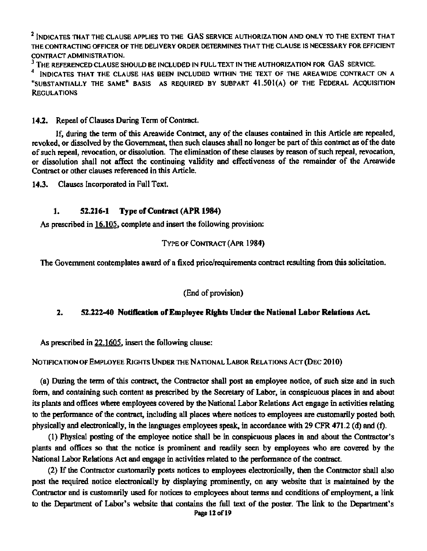<sup>2</sup> INDICATES THAT THE CLAUSE APPLIES TO THE GAS SERVICE AUTHORIZATION AND ONLY TO THE EXTENT THAT THE CONTRACTING OFFICER OF THE DELIVERY ORDER DETERMINES THAT THE CLAUSE IS NECESSARY FOR EFFICIENT CONTRACT ADMINISTRATION.

<sup>3</sup> The referenced clause should be included in full text in the authorization for GAS service.

4 INDICATES THAT THE CLAUSE HAS BEEN INCLUDED WITHIN THE TEXT OF THE AREAWIDE CONTRACT ON A "SUBSTANTIALLY THE SAME" BASIS AS REQUIRED BY SUBPART 41.501(A) OF THE FEDERAL ACQUISITION **REGULATIONS** 

14.2. Repeal of Clauses During Term of Contract.

If, during the term of this Areawide Contract, any of the clauses contained in this Article are repealed, revoked, or dissolved by the Government, then such clauses shall no longer be part of this contract as of the date of such repeal, revocation, or dissolution. The elimination of these clauses by reason of such repeal, revocation, or dissolution shall not affect the continuing validity and effectiveness of the remainder of the Areawide Contract or other clauses referenced in this Article.

14.3. Clauses Incorporated in Full Text.

#### 1. 52.216-1 Type of Contract (APR 1984)

As prescribed in 16.105, complete and insert the following provision:

TYPE OF CONTRACT (APR 1984)

The Government contemplates award of a fixed price/requirements contract resulting from this solicitation.

#### (End of provision)

### 2. 52.222–40 Notification of Employee Rights Under the National Labor Relations Act.

As prescribed in 22.1605, insert the following clause:

NOTIFICATION OF EMPLOYEE RlGHTS UNDER THE NATIONAL LABOR RELATIONS ACT(DEC 2010)

(a) During the tenn of this contract, the Contractor shall post an employee notice, of such size and in such fonn, and containing such content as prescribed by the Secretary of Labor, in conspicuous places in and about its plants and offices where employees covered by the National Labor Relations Act engage in activities relating to the performance of the contract, including all places where notices to employees are customarily posted both physically and electronically, in the languages employees speak, in accordance with 29 CFR 471.2 (d) and (f).

(I) Physical posting of the employee notice shall be in conspicuous places in and about the Contractor's plants and offices so that the notice is prominent and readily seen by employees who are covered by the National Labor Relations Act and engage in activities related to the performance of the contract.

(2) If the Contractor customarily posts notices to employees electronically, then the Contractor shall also post the required notice electronically by displaying prominently, on any website that is maintained by the Contractor and is customarily used for notices to employees about terms and conditions of employment, a link to the Department of Labor's website that contains the full text of the poster. The link to the Department's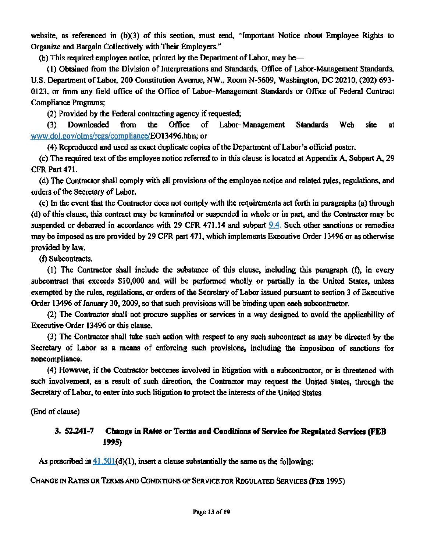website, as referenced in (b)(3) of this section, must read. "Important Notice about Employee Rights to Organize and Bargain Collectively with Their Employers."

(b) This required employee notice, printed by the Department of Labor, may be—

(1) Obtained ftom the Division of Interpretations and Standards, Office of Labor-Management Standards. U.S. Department of Labor, 200 Constitution Avenue, NW., Room N-5609, Washington, DC 20210, (202) 693-0123. or from any field office of the Office of Labor- Management Standards or Office of Federal Contract Compliance Programs;

(2) Provided by the Federal contracting agency if requested;

(3) Downloaded from the Office of Labor- Management Standards Web site at www.dol.gov/olms/regs/compliance/EO13496.htm; or

(4) Reproduced and used as exact duplicate copies ofthe Department ofLabor's official poster.

 $\alpha$ ) The required text of the employee notice referred to in this clause is located at Appendix A, Subpart A, 29 CFR Part 471.

(d) The Contractor shall comply with all provisions ofthe employee notice and related rules, regulations, and orders of the Secretary of Labor.

{e) In the event that the Contractor does not comply with the requirements set forth in paragraphs (a) through (d) ofthis clause, this contract may be terminated or suspended in whole or in part, and the Contractor may be suspended or debarred in accordance with 29 CFR 471.14 and subpart  $9.4$ . Such other sanctions or remedies may be imposed as are provided by 29 CFR part 471, which implements Executive Order 13496 or as otherwise provided by law.

(f) Subcontracts.

(1) The Contractor shall include the substance of this clause, including this paragraph (f), in every subcontract that exceeds \$10,000 and will be performed wholly or partially in the United States, unless exempted by the rules, regulations, or orders of the Secretary of Labor issued pursuant to section 3 of Executive Order 13496 of January 30, 2009, so that such provisions will be binding upon each subcontractor.

(2) The Contractor shall not procme supplies or services in a way designed to avoid the applicability of Executive Order 13496 or this clause.

(3) The Contractor shall take such action with respect to any such subcontract as may be directed by the Secretary of Labor as a means of enforcing such provisions, including the imposition of sanctions for noncompliance.

(4) However, if the Contractor becomes involved in litigation with a subcontractor, or is threatened with such involvement, as a result of such direction, the Contractor may request the United States, through the Secretary of Labor, to enter into such litigation to protect the interests of the United States.

(End of clause)

### 3. 52.241-7 Change in Rates or Terms and Conditions of Service for Regulated Services (FEB 1995)

As prescribed in  $41.501(d)(1)$ , insert a clause substantially the same as the following:

CHANGE IN RATES OR TERMS AND CONDITIONS OF SERVICE FOR REGULATED SERVICES (FEB 1995)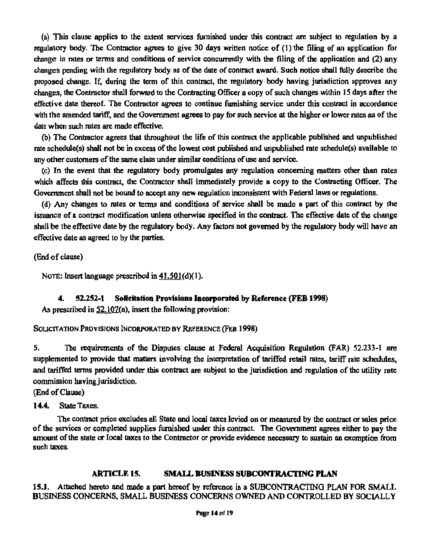(a) This clause applies to the extent services furnished under this contract are subject to regulation by a regulatory body. The Contractor agrees to give 30 days written notice of (I) the filing of an application for change in rates or terms and conditions of service concurrently with the filing of the application and (2) any changes pending with the regulatory body as of the date of contract award. Such notice shall fully describe the proposed change. If, during the term of this contract, the regulatory body having jurisdiction approves any changes, the Contractor shall forward to the Contracting Officer a copy of such changes within 15 days after the effective date thereof. The Contractor agrees to continue furnishing service under this contract in accordance with the amended tariff, and the Government agrees to pay for such service at the higher or lower rates as of the date when such rates are made effective.

(b) The Contractor agrees that throughout the life of this contract the applicable published and unpublished rate schedule(s) shall not be in excess of the lowest cost published and unpublished rate schedule(s) available to any other customers of the same class under similar conditions of use and service.

(c) In the event that the regulatory body promulgates any regulation concerning matters other than rates which affects this contract, the Contractor shall immediately provide a copy to the Contracting Officer. The Government sball not be bound to accept any new regulation inconsistent with Federal laws or regulations.

(d) Any changes to rates or tenns and conditions of service shall be made a part of this contract by the issuance of a contract modification unless otherwise specified in the contract. The effective date of the change shall be the effective date by the regulatory body. Any factors not governed by the regulatory body will have an effective date as agreed to by the parties.

(End of clause)

NOTE: Insert language prescribed in  $41.501(d)(1)$ .

#### 4. 52.252-1 Solicitation Provisions lneorponted by Refereaee (FEB 1998)

As prescribed in 52.107(a), insert the following provision:

SOLICITATION PROVISIONS INCORPORATED BY REFERENCE (FEB 1998)

*S.* The requirements of the Disputes clause at Federal Acquisition Regulation (FAR) 52.233-1 are supplemented to provide that matters involving the interpretation of tariffed retail rates, tariff rate schedules, and tariffed tenns provided under this contract are subject to the jurisdiction and regulation of the utility rate commission having jurisdiction.

(End of Clause)

14.4. State Taxes.

The contract price excludes all State and local taxes levied on or measured by the contract or sales price of the services or completed supplies furnished under this contract. The Government agrees either to pay the amount of the state or local taxes to the Contractor or provide evidence necessary to sustain an exemption from such taxes.

#### ARTICLE15. SMALL BUSINESS SUBCONTRACfiNG PLAN

15.1. Attached hereto and made a part hereof by reference is a SUBCONTRACTING PLAN FOR SMALL BUSINESS CONCERNS, SMALL BUSINESS CONCERNS OWNED AND CONTROLLED BY SOCIALLY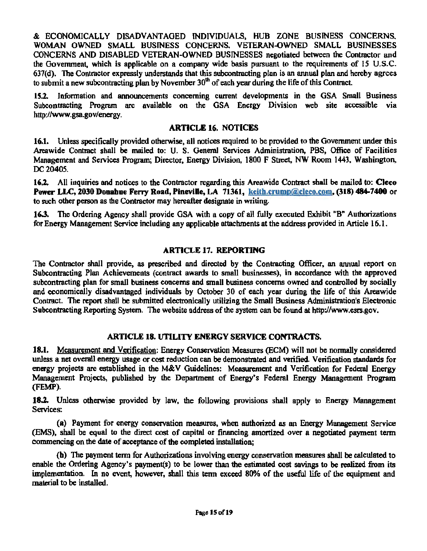& ECONOMlCALLY DISADVANTAGED INDIVIDUALS, HUB ZONE BUSINESS CONCERNS. WOMAN OWNED SMALL BUSINESS CONCERNS. VETERAN-OWNED SMALL BUSINESSES CONCERNS AND DISABLED VETERAN-OWNED BUSINESSES negotiated between the Contractor and the Government, which is applicable on a company wide basis pursuant to the requirements of 15 U.S.C. 637(d). The Contractor expressly understands that this subcontracting plan is an annual plan and hereby agrees to submit a new subcontracting plan by November 30<sup>th</sup> of each year during the life of this Contract.

15.2. Information and announcements concerning current developments in the GSA Small Business Subcontracting Program are available on the GSA Energy Division web site acces sible via http://www.gsa.gov/energy.

#### ARTICLE 16. NOTICES

16.1. Unless specifically provided otherwise, all notices required to be provided to the Government under this Areawide Contract shall be mailed to: U. S. General Services Administration, PBS, Office of Facilities Management and Services Program; Director, Energy Division, 1800 F Street, NW Room 1443. Washington, DC 20405.

16.2. All inquiries and notices to the Contractor regarding this Areawide Contract shall be mailed to: Cleeo Power LLC, 2030 Doaahae Ferry Road, Pineville, LA 71361, keith.crumo@cleco.som, (318) 484-7400 or to such other person as the Contractor may hereafter designate in writing.

16.3. The Ordering Agency shall provide GSA with a copy of all fully executed Exhibit "B" Authorizations for Energy Management Service including any applicable attachments at the address provided in Article 16.1.

#### ARTICLE 17. REPORTING

The Contractor shall provide, as prescribed and directed by the Contracting Officer, an annual report on Subcontracting Plan Achievements (contract awards to small businesses), in accordance with the approved subcontracting plan for small business concerns and small business concerns owned and controlled by socially and economically disadvantaged individuals by October 30 of each year during the life of this Areawide Contract. The report shall be submitted electronically utilizing the Small Business Administration's Electronic Subcontracting Reporting System. The website address of the system can be found at http://www.esrs.gov.

#### ARTICLE 18. UTILITY ENERGY SERVICE CONTRACTS.

18.1. Measurement and Verification: Energy Conservation Measures (ECM) will not be normally considered unless a net overall energy usage or cost reduction can be demonstrated and verified. Verification standards for energy projects are established in the M&V Guidelines: Measurement and Verification for Federal Energy Management Projects, published by the Department of Energy's Federal Energy Management Program (FEMP).

18.2. Unless otherwise provided by law, the following provisions shall apply to Energy Management Services:

(a) Payment for energy conservation measures, when authorized as an Energy Management Service (EMS), shall be equal to the direct cost of capital or financing amortized over a negotiated payment term commencing on the date of acceptance of the completed installation;

(b) The payment term for Authorizations involving energy conservation measures shall be calculated to enable the Ordering Agency's payment(s) to be lower than the estimated cost savings to be realized from its implementation. In no event, however, shall this term exceed 80% of the useful life of the equipment and material to be installed.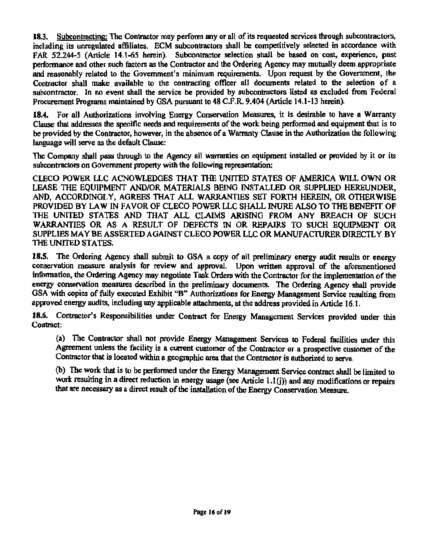18.3. Subcontracting: The Contractor may perform any or all of its requested services through subcontractors, including its unregulated affiliates. ECM subcontractors shall be competitively selected in accordance with FAR 52.244-5 (Article 14.1-65 herein). Subcontractor selection shall be based on cost, experience, past performance and other such factors as the Contractor and the Ordering Agency may mutually deem appropriate and reasonably related to the Government's minimum requirements. Upon request by the Govenunent, the Contractor shall make available to the contracting officer all documents related to the selection of a subcontractor. In no event shall the service be provided by subcontractors listed as excluded from Federal Procurement Programs maintained by GSA pursuant to 48 C.F.R. 9.404 (Article 14.1-13 herein).

18.4. For all Authorizations involving Energy Conservation Measures, it is desirable to have a Warranty Clause that addresses the specific needs and requirements of the work being performed and equipment that is to be provided by the Contractor, however, in the absence of a Warranty Clause in the Authorization the following language will serve as the default Clause:

The Company shall pass through to the Agency all warranties on equipment installed or provided by it or its subcontractors on Government property with the following representation:

CLECO POWER LLC ACNOWLEDGES THAT THE UNITED STATES OF AMERICA WILL OWN OR LEASE THE EQUIPMENT AND/OR MATERIALS BEING INSTALLED OR SUPPLIED HEREUNDER, AND, ACCORDINGLY. AGREES THAT ALL WARRANTIES SET FORTH HEREIN, OR OTHERWISE PROVIDED BY LAW IN FAVOR OF CLECO POWER LLC SHALL INURE ALSO TO THE BENEFIT OF THE UNITED STATES AND THAT ALL CLAIMS ARISING FROM ANY BREACH OF SUCH WARRANTIES OR AS A RESULT OF DEFECTS IN OR REPAIRS TO SUCH EQUIPMENT OR SUPPLIES MAY BE ASSERTED AGAINST CLECO POWER LLC OR MANUFACTURER DIRECTLY BY THE UNITED STATES.

18.5. The Ordering Agency shall submit to GSA a copy of all preliminary energy audit results or energy conservation measure analysis for review and approval. Upon written approval of the aforementioned information, the Ordering Agency may negotiate Task Orders with the Contractor for the implementation of the energy conservation measures described in the preliminary documents. The Ordering Agency shall provide GSA with copies of fully executed Exhibit "B" Authorizations for Energy Management Service resulting from approved energy audits, including any applicable attachments, at the address provided in Article 16.1.

18.6. Contractor's Responsibilities under Contract for Energy Management Services provided under this Contract:

(a) The Contractor shall not provide Energy Management Services to Federal facilities under this Agreement unless the facility is a current customer of the Contractor or a prospective customer of the Contractor that is located within a geographic area that the Contractor is authorized to serve.

(b) The work that is to be performed under the Energy Management Service contract shall be limited to work resulting in a direct reduction in energy usage (see Article 1.1(j)) and any modifications or repairs that are necessary as a direct result of the installation of the Energy Conservation Measure.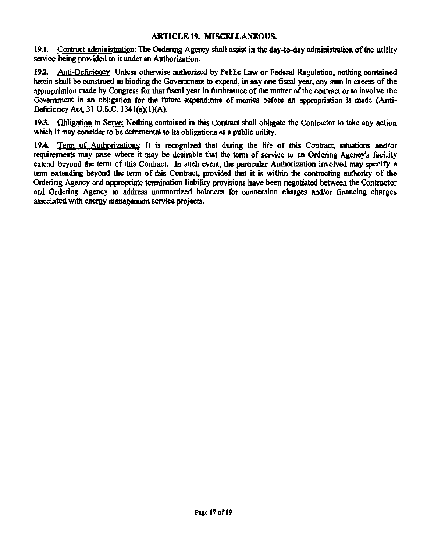#### ARTICLE 19. MISCELLANEOUS.

19.1. Contract administration: The Ordering Agency shall assist in the day-to-day administration of the utility service being provided to it under an Authorization.

19.1. Anti-Deficiency: Unless otherwise authorized by Public Law or Federal Regulation, nothing contained herein shall be construed as binding the Government to expend, in any one fiscal year, any sum in excess of the appropriation made by Congress for that fiscal year in furtherance of the matter of the contract or to involve the Government in an obligation for the future expenditure of monies before an appropriation is made (Anti-Deficiency Act, 31 U.S.C. 1341(a)(1)(A).

19.3. Qblieation to Serve: Nothing contained in this Contract shall obligate the Contractor to take any action which it may consider to be detrimental to its obligations as a public utility.

19.4. Tenn of Authorizations: It is recognized that during the life of this Contract, situations and/or requirements may arise where it may be desirable that the term of service to an Ordering Agency's facility extend beyond the term of this Contract. In such event, the particular Authorization involved may specify a term extending beyond the term of this Contract, provided that it is within the contracting authority of the Ordering Agency and appropriate tennination liability provisions have been negotiated between the Contractor and Ordering Agency to address unamortized balances for connection charges and/or financing charges associated with energy management service projects.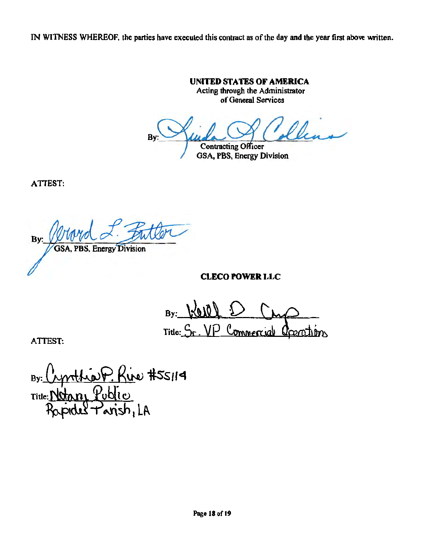IN WITNESS WHEREOF, the parties have executed this contract as of the day and the year first above written.

# UNITED STATES OF AMERICA

Acting through the Administrator of General Services

By: Lucha Contracting Officer FAMERICA<br>Administrator<br>Frica<br>Collens

GSA, PBS, Energy Division

ATTEST:

Bv: GSA, PBS, Energy Division

CLECO POWER LLC

 $\overline{B}$ Commercial VP. Title: <u>loenation</u>

**ATTEST:** 

By: Cynthias P. Rice #55114<br>Title: Notary Public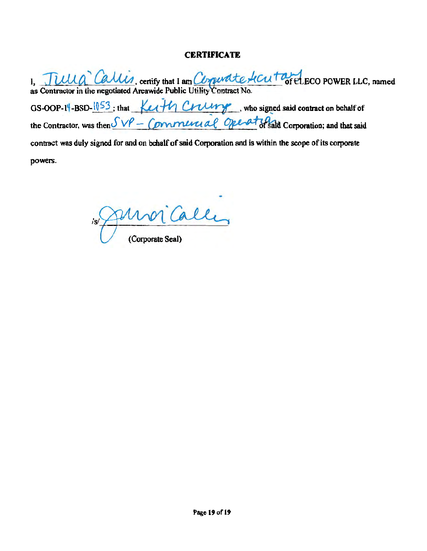#### **CERTIFICATE**

1, *Julia Callis, certify that I am Corpunate Accutoffel ECO POWER LLC, named* as Contractor in the negotiated Areawide Public Utility Contract No. GS-OOP-14-BSD- $1053$ ; that  $\frac{1053}{100}$  .who signed said contract on behalf of the Contractor, was then  $SVP -$  Commercial Ope at of said Corporation; and that said contract was duly signed for and on behalf of said Corporation and is within the scope of its corporate powers.

• moi Cally (Corporate Seal)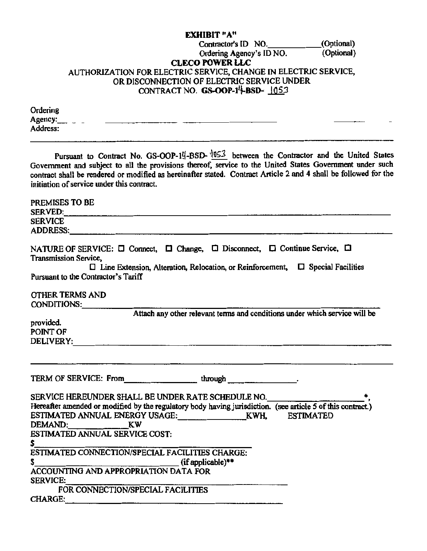#### EXHIBIT "A" Contractor's ID NO. (Optional)<br>Ordering Agency's ID NO. (Optional) Ordering Agency's  $ID$  NO. CLECO POWER LLC AUTHORIZATION FOR ELECTRIC SERVICE, CHANGE IN ELECTRJC SERVICE, OR DISCONNECTION OF ELECTRIC SERVICE UNDER CONTRACT NO. GS-OOP- $14$ -BSD- $.1053$

Ordering Agency:\_\_\_\_\_\_\_\_\_\_\_\_\_\_\_\_\_\_\_\_\_\_\_\_\_\_\_\_\_\_ \_ Address:

| Pursuant to Contract No. GS-OOP-14-BSD-1053 between the Contractor and the United States<br>Government and subject to all the provisions thereof, service to the United States Government under such<br>contract shall be rendered or modified as hereinafter stated. Contract Article 2 and 4 shall be followed for the<br>initiation of service under this contract. |  |  |  |
|------------------------------------------------------------------------------------------------------------------------------------------------------------------------------------------------------------------------------------------------------------------------------------------------------------------------------------------------------------------------|--|--|--|
| PREMISES TO BE<br>SERVED:                                                                                                                                                                                                                                                                                                                                              |  |  |  |
| <b>SERVICE</b>                                                                                                                                                                                                                                                                                                                                                         |  |  |  |
| NATURE OF SERVICE: $\Box$ Connect, $\Box$ Change, $\Box$ Disconnect, $\Box$ Continue Service, $\Box$<br>Transmission Service,<br>$\Box$ Line Extension, Alteration, Relocation, or Reinforcement, $\Box$ Special Facilities                                                                                                                                            |  |  |  |
| Pursuant to the Contractor's Tariff                                                                                                                                                                                                                                                                                                                                    |  |  |  |
| <b>OTHER TERMS AND</b><br>CONDITIONS:                                                                                                                                                                                                                                                                                                                                  |  |  |  |
| Attach any other relevant terms and conditions under which service will be                                                                                                                                                                                                                                                                                             |  |  |  |
| provided.                                                                                                                                                                                                                                                                                                                                                              |  |  |  |
| POINT OF                                                                                                                                                                                                                                                                                                                                                               |  |  |  |
|                                                                                                                                                                                                                                                                                                                                                                        |  |  |  |
| TERM OF SERVICE: From through through the contract of the contract of the contract of the contract of the contract of the contract of the contract of the contract of the contract of the contract of the contract of the cont                                                                                                                                         |  |  |  |
| SERVICE HEREUNDER SHALL BE UNDER RATE SCHEDULE NO.                                                                                                                                                                                                                                                                                                                     |  |  |  |
| Hereafter amended or modified by the regulatory body having jurisdiction. (see article 5 of this contract.)                                                                                                                                                                                                                                                            |  |  |  |
|                                                                                                                                                                                                                                                                                                                                                                        |  |  |  |
| DEMAND: KW                                                                                                                                                                                                                                                                                                                                                             |  |  |  |
| <b>ESTIMATED ANNUAL SERVICE COST:</b>                                                                                                                                                                                                                                                                                                                                  |  |  |  |
| \$_                                                                                                                                                                                                                                                                                                                                                                    |  |  |  |
| ESTIMATED CONNECTION/SPECIAL FACILITIES CHARGE:                                                                                                                                                                                                                                                                                                                        |  |  |  |
| (if applicable)**<br>\$_                                                                                                                                                                                                                                                                                                                                               |  |  |  |
| <b>ACCOUNTING AND APPROPRIATION DATA FOR</b>                                                                                                                                                                                                                                                                                                                           |  |  |  |
| <b>SERVICE:</b>                                                                                                                                                                                                                                                                                                                                                        |  |  |  |
| FOR CONNECTION/SPECIAL FACILITIES                                                                                                                                                                                                                                                                                                                                      |  |  |  |
| <b>CHARGE:</b>                                                                                                                                                                                                                                                                                                                                                         |  |  |  |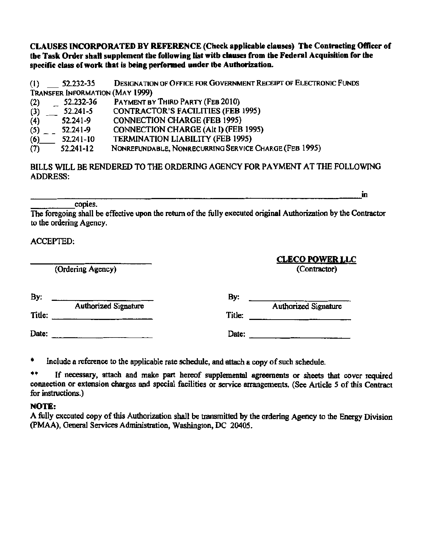CLAUSES INCORPORATED BY REFERENCE (Check applicable clauses) The Contracting Officer of the Task Order shall supplement the following list with elauses from the Fedenl Aequisitioa for the specific class of work that is being performed under the Authorization.

| (1) | 52.232-35                              | <b>DESIGNATION OF OFFICE FOR GOVERNMENT RECEIPT OF ELECTRONIC FUNDS</b> |
|-----|----------------------------------------|-------------------------------------------------------------------------|
|     | <b>TRANSFER INFORMATION (MAY 1999)</b> |                                                                         |
| (2) | 52.232-36                              | PAYMENT BY THIRD PARTY (FEB 2010)                                       |
| (3) | 52.241-5                               | <b>CONTRACTOR'S FACILITIES (FEB 1995)</b>                               |
| (4) | 52.241-9                               | <b>CONNECTION CHARGE (FEB 1995)</b>                                     |
| (5) | 52.241-9                               | CONNECTION CHARGE (Alt I) (FEB 1995)                                    |
| (6) | 52.241-10                              | <b>TERMINATION LIABILITY (FEB 1995)</b>                                 |
| (7) | 52.241-12                              | NONREFUNDABLE, NONRECURRING SERVICE CHARGE (FEB 1995)                   |

BILLS WILL BE RENDERED TO THE ORDERING AGENCY FOR PAYMENT AT THE FOLLOWING ADDRESS:

in -------~------ -----------------------------------------· -~-~copies. The foregoing shall be effective upon the return of the fully executed original Authorization by the Contractor to the ordering Agency.

#### ACCEPTED:

(Ordering Agency)

CLECO POWER LLC<br>(Contractor)

| By:    |                             | By:                                   |  |
|--------|-----------------------------|---------------------------------------|--|
| Title: | <b>Authorized Signature</b> | <b>Authorized Signature</b><br>Title: |  |
| Date:  |                             | Date:                                 |  |
|        |                             |                                       |  |

<sup>\*</sup> Include a reference to the applicable rate schedule, and attach a copy of such schedule.

•• If necessary, attach and make part hereof supplemental agreements or sheets that cover required connection or extension charges and special facilities or service arrangements. (See Article *S* of this Contract for instructions.)

#### NOTE:

A fully executed copy of this Authorization shall be transmitted by the ordering Agency to the Energy Division (PMAA), General Services Administration, Washington, DC 20405.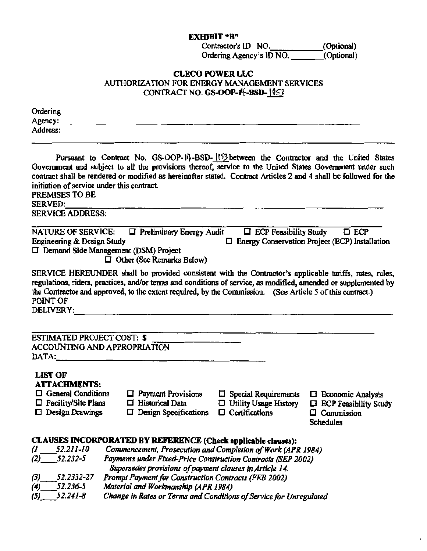EXHIBIT "B"

Contractor's ID NO. (Optional)<br>Ordering Agency's ID NO. (Optional) Ordering Agency's ID NO.

#### CLECO POWER LLC AUTHORIZATION FOR ENERGY MANAGEMENT SERVICES CONTRACT NO. GS-OOPRJlf-BSD- \*0>3*

Ordering<br>Agency: Agency:.\_\_\_\_\_\_\_\_\_\_\_\_\_\_\_\_\_\_\_\_\_\_ \_\_\_ \_\_\_\_\_\_\_\_\_\_\_\_\_\_ Address:

Pursuant to Contract No. GS-OOP-14-BSD- 193 between the Contractor and the United States Government and subject to all the provisions thereof, service to the United States Government under such contract shall be rendered or modified as hereinafter stated. Contract Articles 2 and 4 shall be followed for the initiation of service under this contract. PREMISES TO BE SERVED:.\_\_\_\_\_\_\_\_\_\_\_\_\_\_\_\_\_\_\_\_\_\_\_\_\_\_\_\_\_\_\_\_\_--------------------------------- SERVICE ADDRESS:

| <b>NATURE OF SERVICE:</b>                   | $\Box$ Preliminary Energy Audit  | $\Box$ ECP Feasibility Study                          | $\square$ ECP |
|---------------------------------------------|----------------------------------|-------------------------------------------------------|---------------|
| Engineering & Design Study                  |                                  | $\Box$ Energy Conservation Project (ECP) Installation |               |
| $\Box$ Demand Side Management (DSM) Project |                                  |                                                       |               |
|                                             | $\Box$ Other (See Remarks Below) |                                                       |               |

SERVICE HEREUNDER shall be provided consistent with the Contractor's applicable tariffs, rates, rules, regulations, riders, practices, and/or terms and conditions of service, as modified, amended or supplemented by the Contractor and approved, to the extent required, by the Commission. (See Article 5 of this contract.) POINT OF DELNERY:.-------------------------------------------------------

ESTIMATED PROJECT COST: \$ ACCOUNTING AND APPROPRIATION DATA=----------------------~------------------

#### LIST OF **ATTACHMENTS:**

- 
- 
- 
- $\Box$  General Conditions  $\Box$  Payment Provisions  $\Box$  Special Requirements  $\Box$  Economic Analysis  $\Box$  Facility/Site Plans  $\Box$  Historical Data  $\Box$  Utility Usage History  $\Box$  ECP Feasibility Studi
	-
- 
- $\square$  Facility/Site Plans  $\square$  Historical Data  $\square$  Utility Usage History  $\square$  ECP Feasibility Study  $\square$  Design Specifications  $\square$  Certifications  $\square$  Commission  $\Box$  Design Specifications  $\Box$  Certifications
	-
- 
- 
- 
- Schedules

| CLAUSES INCORPORATED BY REFERENCE (Check applicable clauses): |                                                                    |  |  |
|---------------------------------------------------------------|--------------------------------------------------------------------|--|--|
| $(1 - 52.211 - 10)$                                           | Commencement, Prosecution and Completion of Work (APR 1984)        |  |  |
| 52.232-5<br>(2)                                               | Payments under Fixed-Price Construction Contracts (SEP 2002)       |  |  |
|                                                               | Supersedes provisions of payment clauses in Article 14.            |  |  |
| 52.2332-27<br>(3)                                             | <b>Prompt Payment for Construction Contracts (FEB 2002)</b>        |  |  |
| 52.236-5<br>(4)                                               | Material and Workmanship (APR 1984)                                |  |  |
| 52.241-8<br>(5)                                               | Change in Rates or Terms and Conditions of Service for Unregulated |  |  |